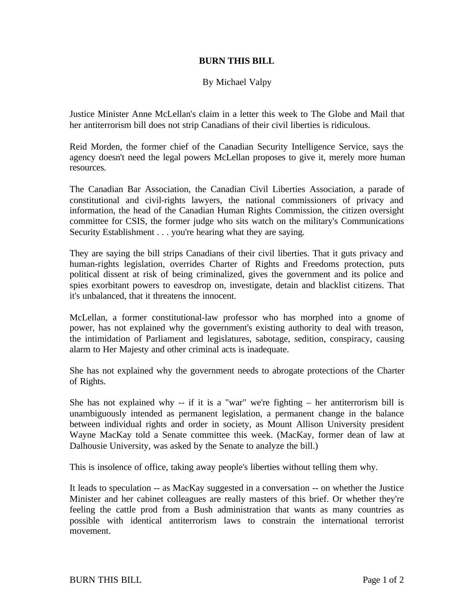## **BURN THIS BILL**

## By Michael Valpy

Justice Minister Anne McLellan's claim in a letter this week to The Globe and Mail that her antiterrorism bill does not strip Canadians of their civil liberties is ridiculous.

Reid Morden, the former chief of the Canadian Security Intelligence Service, says the agency doesn't need the legal powers McLellan proposes to give it, merely more human resources.

The Canadian Bar Association, the Canadian Civil Liberties Association, a parade of constitutional and civil-rights lawyers, the national commissioners of privacy and information, the head of the Canadian Human Rights Commission, the citizen oversight committee for CSIS, the former judge who sits watch on the military's Communications Security Establishment . . . you're hearing what they are saying.

They are saying the bill strips Canadians of their civil liberties. That it guts privacy and human-rights legislation, overrides Charter of Rights and Freedoms protection, puts political dissent at risk of being criminalized, gives the government and its police and spies exorbitant powers to eavesdrop on, investigate, detain and blacklist citizens. That it's unbalanced, that it threatens the innocent.

McLellan, a former constitutional-law professor who has morphed into a gnome of power, has not explained why the government's existing authority to deal with treason, the intimidation of Parliament and legislatures, sabotage, sedition, conspiracy, causing alarm to Her Majesty and other criminal acts is inadequate.

She has not explained why the government needs to abrogate protections of the Charter of Rights.

She has not explained why -- if it is a "war" we're fighting  $-$  her antiterrorism bill is unambiguously intended as permanent legislation, a permanent change in the balance between individual rights and order in society, as Mount Allison University president Wayne MacKay told a Senate committee this week. (MacKay, former dean of law at Dalhousie University, was asked by the Senate to analyze the bill.)

This is insolence of office, taking away people's liberties without telling them why.

It leads to speculation -- as MacKay suggested in a conversation -- on whether the Justice Minister and her cabinet colleagues are really masters of this brief. Or whether they're feeling the cattle prod from a Bush administration that wants as many countries as possible with identical antiterrorism laws to constrain the international terrorist movement.